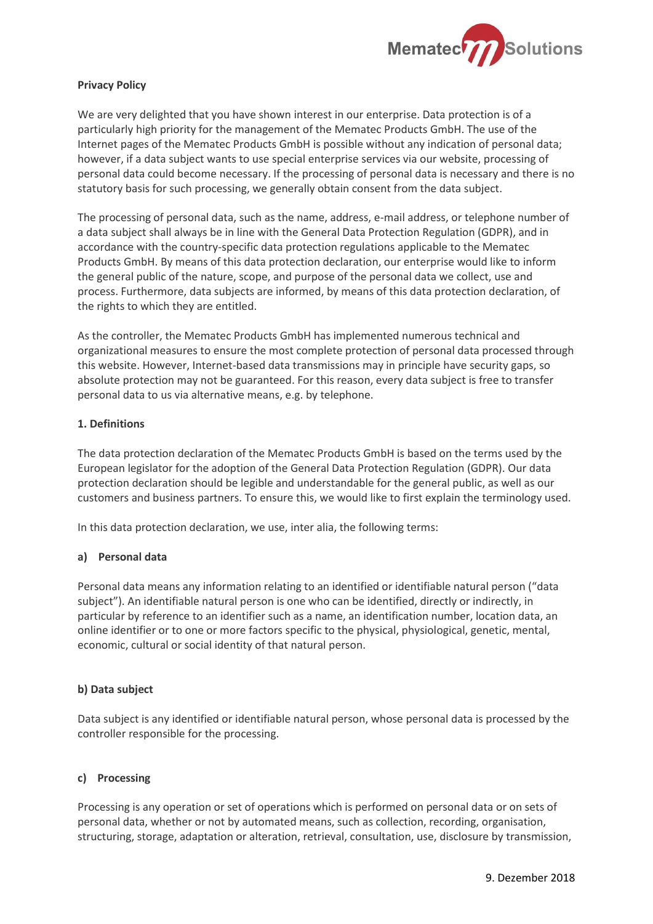

## **Privacy Policy**

We are very delighted that you have shown interest in our enterprise. Data protection is of a particularly high priority for the management of the Mematec Products GmbH. The use of the Internet pages of the Mematec Products GmbH is possible without any indication of personal data; however, if a data subject wants to use special enterprise services via our website, processing of personal data could become necessary. If the processing of personal data is necessary and there is no statutory basis for such processing, we generally obtain consent from the data subject.

The processing of personal data, such as the name, address, e-mail address, or telephone number of a data subject shall always be in line with the General Data Protection Regulation (GDPR), and in accordance with the country-specific data protection regulations applicable to the Mematec Products GmbH. By means of this data protection declaration, our enterprise would like to inform the general public of the nature, scope, and purpose of the personal data we collect, use and process. Furthermore, data subjects are informed, by means of this data protection declaration, of the rights to which they are entitled.

As the controller, the Mematec Products GmbH has implemented numerous technical and organizational measures to ensure the most complete protection of personal data processed through this website. However, Internet-based data transmissions may in principle have security gaps, so absolute protection may not be guaranteed. For this reason, every data subject is free to transfer personal data to us via alternative means, e.g. by telephone.

## **1. Definitions**

The data protection declaration of the Mematec Products GmbH is based on the terms used by the European legislator for the adoption of the General Data Protection Regulation (GDPR). Our data protection declaration should be legible and understandable for the general public, as well as our customers and business partners. To ensure this, we would like to first explain the terminology used.

In this data protection declaration, we use, inter alia, the following terms:

### **a) Personal data**

Personal data means any information relating to an identified or identifiable natural person ("data subject"). An identifiable natural person is one who can be identified, directly or indirectly, in particular by reference to an identifier such as a name, an identification number, location data, an online identifier or to one or more factors specific to the physical, physiological, genetic, mental, economic, cultural or social identity of that natural person.

### **b) Data subject**

Data subject is any identified or identifiable natural person, whose personal data is processed by the controller responsible for the processing.

### **c) Processing**

Processing is any operation or set of operations which is performed on personal data or on sets of personal data, whether or not by automated means, such as collection, recording, organisation, structuring, storage, adaptation or alteration, retrieval, consultation, use, disclosure by transmission,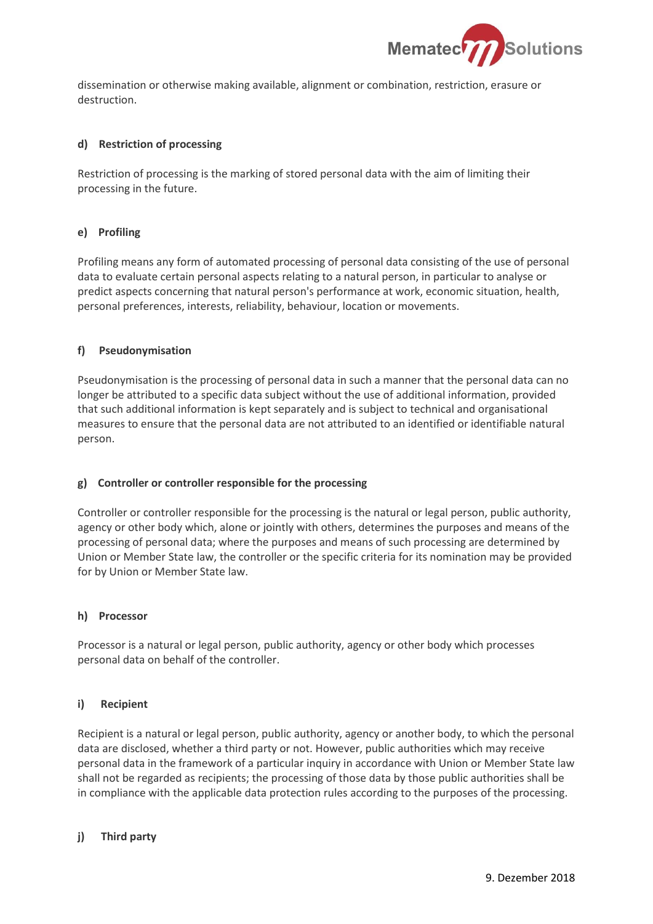

dissemination or otherwise making available, alignment or combination, restriction, erasure or destruction.

### **d) Restriction of processing**

Restriction of processing is the marking of stored personal data with the aim of limiting their processing in the future.

## **e) Profiling**

Profiling means any form of automated processing of personal data consisting of the use of personal data to evaluate certain personal aspects relating to a natural person, in particular to analyse or predict aspects concerning that natural person's performance at work, economic situation, health, personal preferences, interests, reliability, behaviour, location or movements.

## **f) Pseudonymisation**

Pseudonymisation is the processing of personal data in such a manner that the personal data can no longer be attributed to a specific data subject without the use of additional information, provided that such additional information is kept separately and is subject to technical and organisational measures to ensure that the personal data are not attributed to an identified or identifiable natural person.

### **g) Controller or controller responsible for the processing**

Controller or controller responsible for the processing is the natural or legal person, public authority, agency or other body which, alone or jointly with others, determines the purposes and means of the processing of personal data; where the purposes and means of such processing are determined by Union or Member State law, the controller or the specific criteria for its nomination may be provided for by Union or Member State law.

### **h) Processor**

Processor is a natural or legal person, public authority, agency or other body which processes personal data on behalf of the controller.

### **i) Recipient**

Recipient is a natural or legal person, public authority, agency or another body, to which the personal data are disclosed, whether a third party or not. However, public authorities which may receive personal data in the framework of a particular inquiry in accordance with Union or Member State law shall not be regarded as recipients; the processing of those data by those public authorities shall be in compliance with the applicable data protection rules according to the purposes of the processing.

# **j) Third party**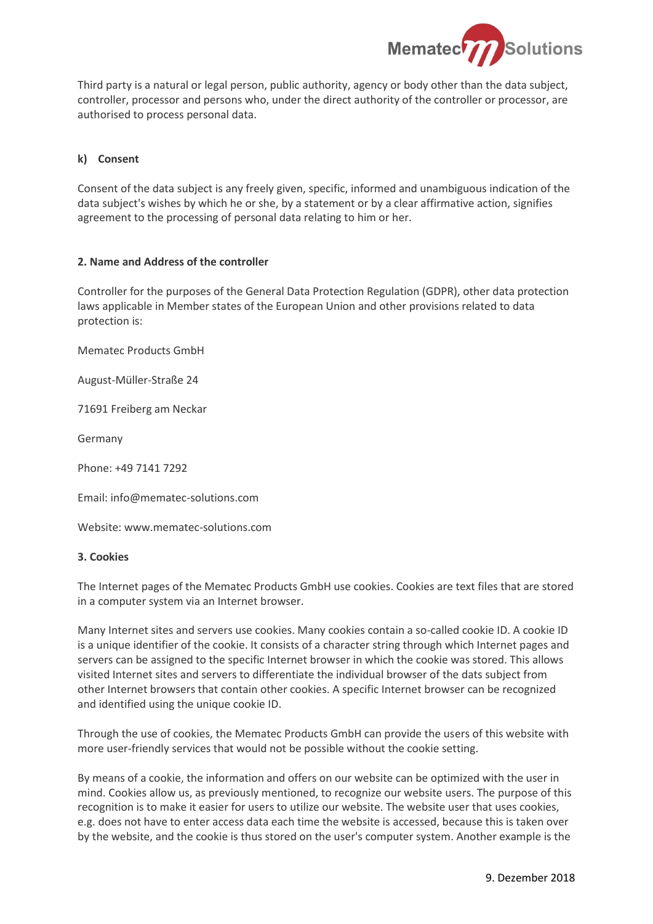

Third party is a natural or legal person, public authority, agency or body other than the data subject, controller, processor and persons who, under the direct authority of the controller or processor, are authorised to process personal data.

### **k) Consent**

Consent of the data subject is any freely given, specific, informed and unambiguous indication of the data subject's wishes by which he or she, by a statement or by a clear affirmative action, signifies agreement to the processing of personal data relating to him or her.

### **2. Name and Address of the controller**

Controller for the purposes of the General Data Protection Regulation (GDPR), other data protection laws applicable in Member states of the European Union and other provisions related to data protection is:

Mematec Products GmbH

August-Müller-Straße 24

71691 Freiberg am Neckar

Germany

Phone: +49 7141 7292

Email: info@mematec-solutions.com

Website: www.mematec-solutions.com

#### **3. Cookies**

The Internet pages of the Mematec Products GmbH use cookies. Cookies are text files that are stored in a computer system via an Internet browser.

Many Internet sites and servers use cookies. Many cookies contain a so-called cookie ID. A cookie ID is a unique identifier of the cookie. It consists of a character string through which Internet pages and servers can be assigned to the specific Internet browser in which the cookie was stored. This allows visited Internet sites and servers to differentiate the individual browser of the dats subject from other Internet browsers that contain other cookies. A specific Internet browser can be recognized and identified using the unique cookie ID.

Through the use of cookies, the Mematec Products GmbH can provide the users of this website with more user-friendly services that would not be possible without the cookie setting.

By means of a cookie, the information and offers on our website can be optimized with the user in mind. Cookies allow us, as previously mentioned, to recognize our website users. The purpose of this recognition is to make it easier for users to utilize our website. The website user that uses cookies, e.g. does not have to enter access data each time the website is accessed, because this is taken over by the website, and the cookie is thus stored on the user's computer system. Another example is the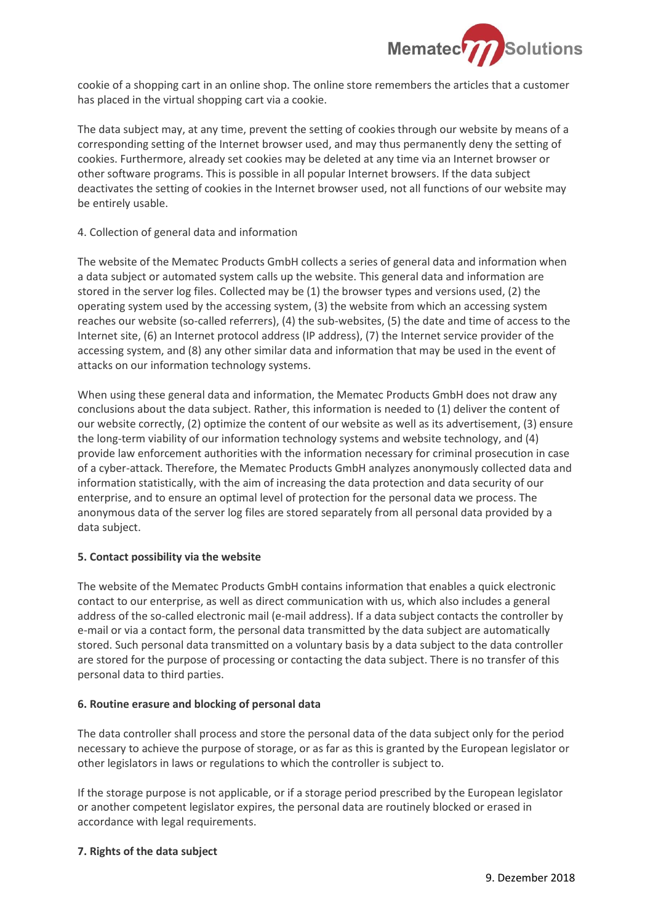

cookie of a shopping cart in an online shop. The online store remembers the articles that a customer has placed in the virtual shopping cart via a cookie.

The data subject may, at any time, prevent the setting of cookies through our website by means of a corresponding setting of the Internet browser used, and may thus permanently deny the setting of cookies. Furthermore, already set cookies may be deleted at any time via an Internet browser or other software programs. This is possible in all popular Internet browsers. If the data subject deactivates the setting of cookies in the Internet browser used, not all functions of our website may be entirely usable.

## 4. Collection of general data and information

The website of the Mematec Products GmbH collects a series of general data and information when a data subject or automated system calls up the website. This general data and information are stored in the server log files. Collected may be (1) the browser types and versions used, (2) the operating system used by the accessing system, (3) the website from which an accessing system reaches our website (so-called referrers), (4) the sub-websites, (5) the date and time of access to the Internet site, (6) an Internet protocol address (IP address), (7) the Internet service provider of the accessing system, and (8) any other similar data and information that may be used in the event of attacks on our information technology systems.

When using these general data and information, the Mematec Products GmbH does not draw any conclusions about the data subject. Rather, this information is needed to (1) deliver the content of our website correctly, (2) optimize the content of our website as well as its advertisement, (3) ensure the long-term viability of our information technology systems and website technology, and (4) provide law enforcement authorities with the information necessary for criminal prosecution in case of a cyber-attack. Therefore, the Mematec Products GmbH analyzes anonymously collected data and information statistically, with the aim of increasing the data protection and data security of our enterprise, and to ensure an optimal level of protection for the personal data we process. The anonymous data of the server log files are stored separately from all personal data provided by a data subject.

# **5. Contact possibility via the website**

The website of the Mematec Products GmbH contains information that enables a quick electronic contact to our enterprise, as well as direct communication with us, which also includes a general address of the so-called electronic mail (e-mail address). If a data subject contacts the controller by e-mail or via a contact form, the personal data transmitted by the data subject are automatically stored. Such personal data transmitted on a voluntary basis by a data subject to the data controller are stored for the purpose of processing or contacting the data subject. There is no transfer of this personal data to third parties.

# **6. Routine erasure and blocking of personal data**

The data controller shall process and store the personal data of the data subject only for the period necessary to achieve the purpose of storage, or as far as this is granted by the European legislator or other legislators in laws or regulations to which the controller is subject to.

If the storage purpose is not applicable, or if a storage period prescribed by the European legislator or another competent legislator expires, the personal data are routinely blocked or erased in accordance with legal requirements.

### **7. Rights of the data subject**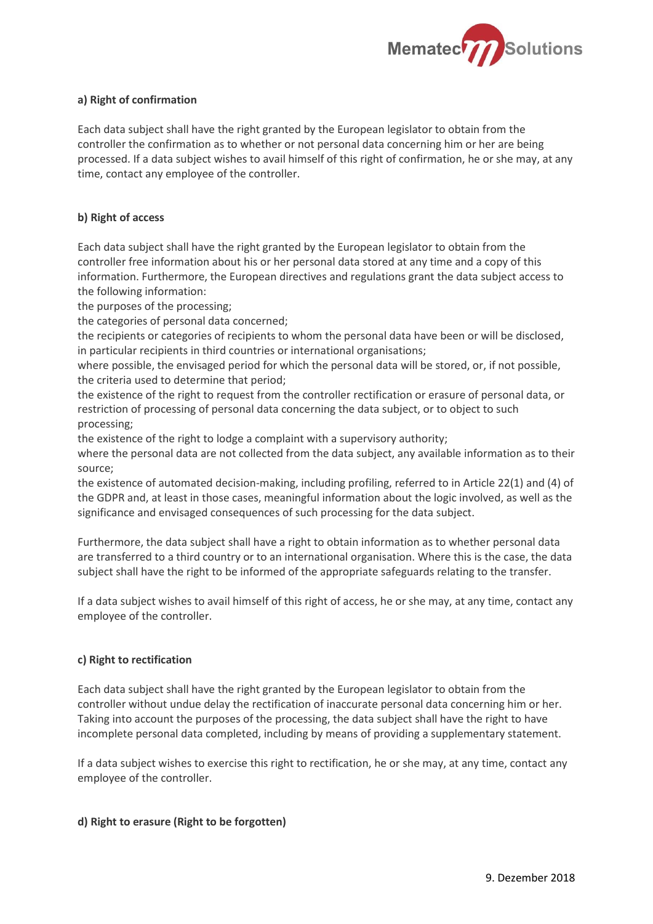

## **a) Right of confirmation**

Each data subject shall have the right granted by the European legislator to obtain from the controller the confirmation as to whether or not personal data concerning him or her are being processed. If a data subject wishes to avail himself of this right of confirmation, he or she may, at any time, contact any employee of the controller.

## **b) Right of access**

Each data subject shall have the right granted by the European legislator to obtain from the controller free information about his or her personal data stored at any time and a copy of this information. Furthermore, the European directives and regulations grant the data subject access to the following information:

the purposes of the processing;

the categories of personal data concerned;

the recipients or categories of recipients to whom the personal data have been or will be disclosed, in particular recipients in third countries or international organisations;

where possible, the envisaged period for which the personal data will be stored, or, if not possible, the criteria used to determine that period;

the existence of the right to request from the controller rectification or erasure of personal data, or restriction of processing of personal data concerning the data subject, or to object to such processing;

the existence of the right to lodge a complaint with a supervisory authority;

where the personal data are not collected from the data subject, any available information as to their source;

the existence of automated decision-making, including profiling, referred to in Article 22(1) and (4) of the GDPR and, at least in those cases, meaningful information about the logic involved, as well as the significance and envisaged consequences of such processing for the data subject.

Furthermore, the data subject shall have a right to obtain information as to whether personal data are transferred to a third country or to an international organisation. Where this is the case, the data subject shall have the right to be informed of the appropriate safeguards relating to the transfer.

If a data subject wishes to avail himself of this right of access, he or she may, at any time, contact any employee of the controller.

### **c) Right to rectification**

Each data subject shall have the right granted by the European legislator to obtain from the controller without undue delay the rectification of inaccurate personal data concerning him or her. Taking into account the purposes of the processing, the data subject shall have the right to have incomplete personal data completed, including by means of providing a supplementary statement.

If a data subject wishes to exercise this right to rectification, he or she may, at any time, contact any employee of the controller.

# **d) Right to erasure (Right to be forgotten)**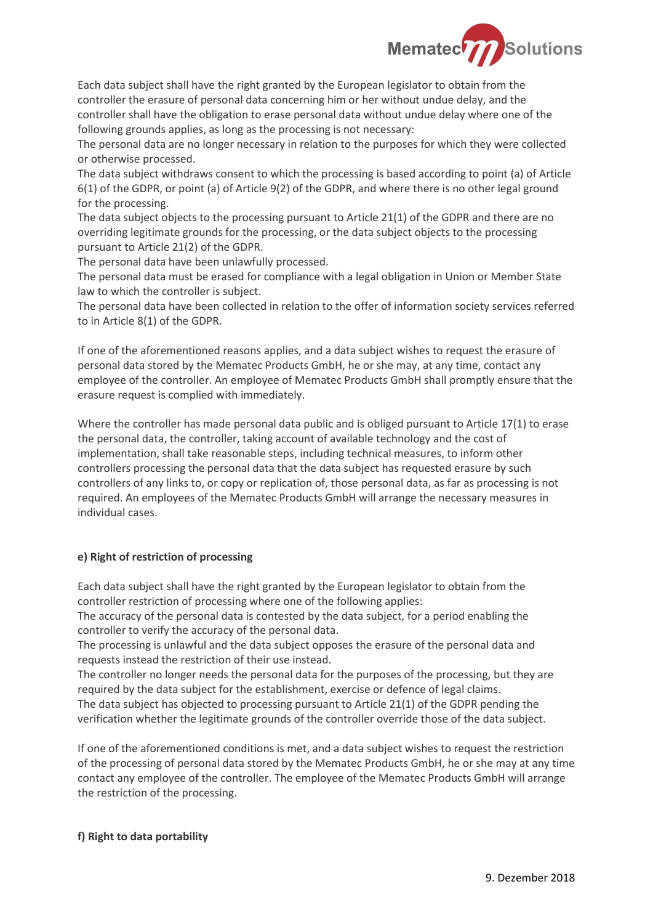

Each data subject shall have the right granted by the European legislator to obtain from the controller the erasure of personal data concerning him or her without undue delay, and the controller shall have the obligation to erase personal data without undue delay where one of the following grounds applies, as long as the processing is not necessary:

The personal data are no longer necessary in relation to the purposes for which they were collected or otherwise processed.

The data subject withdraws consent to which the processing is based according to point (a) of Article 6(1) of the GDPR, or point (a) of Article 9(2) of the GDPR, and where there is no other legal ground for the processing.

The data subject objects to the processing pursuant to Article 21(1) of the GDPR and there are no overriding legitimate grounds for the processing, or the data subject objects to the processing pursuant to Article 21(2) of the GDPR.

The personal data have been unlawfully processed.

The personal data must be erased for compliance with a legal obligation in Union or Member State law to which the controller is subject.

The personal data have been collected in relation to the offer of information society services referred to in Article 8(1) of the GDPR.

If one of the aforementioned reasons applies, and a data subject wishes to request the erasure of personal data stored by the Mematec Products GmbH, he or she may, at any time, contact any employee of the controller. An employee of Mematec Products GmbH shall promptly ensure that the erasure request is complied with immediately.

Where the controller has made personal data public and is obliged pursuant to Article 17(1) to erase the personal data, the controller, taking account of available technology and the cost of implementation, shall take reasonable steps, including technical measures, to inform other controllers processing the personal data that the data subject has requested erasure by such controllers of any links to, or copy or replication of, those personal data, as far as processing is not required. An employees of the Mematec Products GmbH will arrange the necessary measures in individual cases.

# **e) Right of restriction of processing**

Each data subject shall have the right granted by the European legislator to obtain from the controller restriction of processing where one of the following applies:

The accuracy of the personal data is contested by the data subject, for a period enabling the controller to verify the accuracy of the personal data.

The processing is unlawful and the data subject opposes the erasure of the personal data and requests instead the restriction of their use instead.

The controller no longer needs the personal data for the purposes of the processing, but they are required by the data subject for the establishment, exercise or defence of legal claims. The data subject has objected to processing pursuant to Article 21(1) of the GDPR pending the verification whether the legitimate grounds of the controller override those of the data subject.

If one of the aforementioned conditions is met, and a data subject wishes to request the restriction of the processing of personal data stored by the Mematec Products GmbH, he or she may at any time contact any employee of the controller. The employee of the Mematec Products GmbH will arrange the restriction of the processing.

### **f) Right to data portability**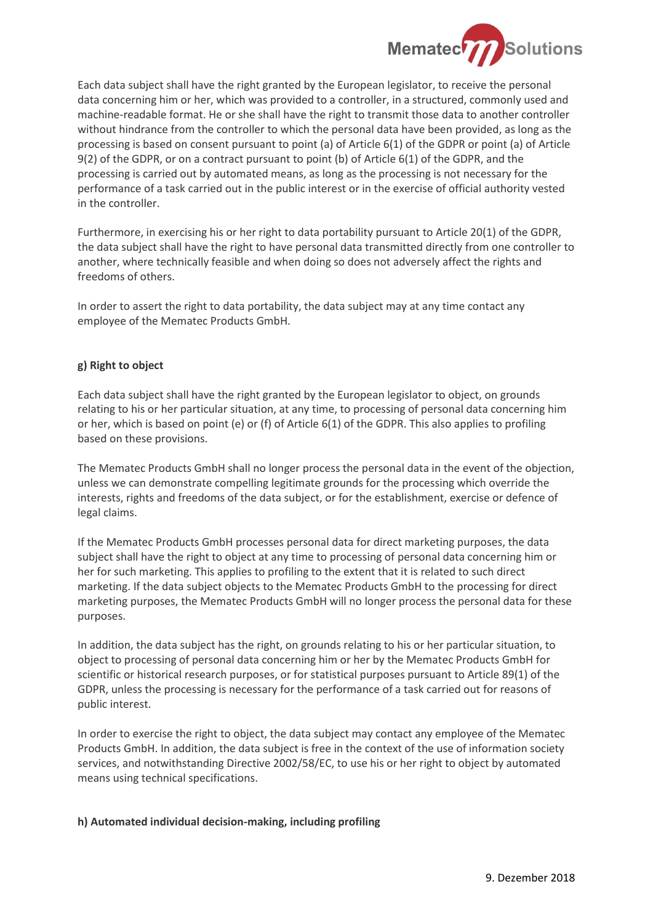

Each data subject shall have the right granted by the European legislator, to receive the personal data concerning him or her, which was provided to a controller, in a structured, commonly used and machine-readable format. He or she shall have the right to transmit those data to another controller without hindrance from the controller to which the personal data have been provided, as long as the processing is based on consent pursuant to point (a) of Article 6(1) of the GDPR or point (a) of Article 9(2) of the GDPR, or on a contract pursuant to point (b) of Article 6(1) of the GDPR, and the processing is carried out by automated means, as long as the processing is not necessary for the performance of a task carried out in the public interest or in the exercise of official authority vested in the controller.

Furthermore, in exercising his or her right to data portability pursuant to Article 20(1) of the GDPR, the data subject shall have the right to have personal data transmitted directly from one controller to another, where technically feasible and when doing so does not adversely affect the rights and freedoms of others.

In order to assert the right to data portability, the data subject may at any time contact any employee of the Mematec Products GmbH.

### **g) Right to object**

Each data subject shall have the right granted by the European legislator to object, on grounds relating to his or her particular situation, at any time, to processing of personal data concerning him or her, which is based on point (e) or (f) of Article 6(1) of the GDPR. This also applies to profiling based on these provisions.

The Mematec Products GmbH shall no longer process the personal data in the event of the objection, unless we can demonstrate compelling legitimate grounds for the processing which override the interests, rights and freedoms of the data subject, or for the establishment, exercise or defence of legal claims.

If the Mematec Products GmbH processes personal data for direct marketing purposes, the data subject shall have the right to object at any time to processing of personal data concerning him or her for such marketing. This applies to profiling to the extent that it is related to such direct marketing. If the data subject objects to the Mematec Products GmbH to the processing for direct marketing purposes, the Mematec Products GmbH will no longer process the personal data for these purposes.

In addition, the data subject has the right, on grounds relating to his or her particular situation, to object to processing of personal data concerning him or her by the Mematec Products GmbH for scientific or historical research purposes, or for statistical purposes pursuant to Article 89(1) of the GDPR, unless the processing is necessary for the performance of a task carried out for reasons of public interest.

In order to exercise the right to object, the data subject may contact any employee of the Mematec Products GmbH. In addition, the data subject is free in the context of the use of information society services, and notwithstanding Directive 2002/58/EC, to use his or her right to object by automated means using technical specifications.

### **h) Automated individual decision-making, including profiling**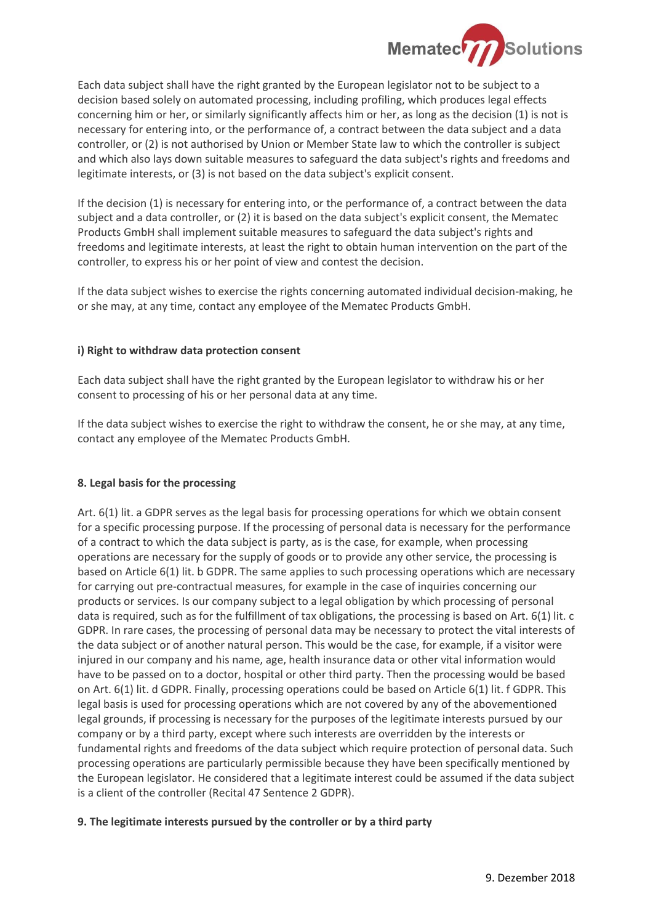

Each data subject shall have the right granted by the European legislator not to be subject to a decision based solely on automated processing, including profiling, which produces legal effects concerning him or her, or similarly significantly affects him or her, as long as the decision (1) is not is necessary for entering into, or the performance of, a contract between the data subject and a data controller, or (2) is not authorised by Union or Member State law to which the controller is subject and which also lays down suitable measures to safeguard the data subject's rights and freedoms and legitimate interests, or (3) is not based on the data subject's explicit consent.

If the decision (1) is necessary for entering into, or the performance of, a contract between the data subject and a data controller, or (2) it is based on the data subject's explicit consent, the Mematec Products GmbH shall implement suitable measures to safeguard the data subject's rights and freedoms and legitimate interests, at least the right to obtain human intervention on the part of the controller, to express his or her point of view and contest the decision.

If the data subject wishes to exercise the rights concerning automated individual decision-making, he or she may, at any time, contact any employee of the Mematec Products GmbH.

### **i) Right to withdraw data protection consent**

Each data subject shall have the right granted by the European legislator to withdraw his or her consent to processing of his or her personal data at any time.

If the data subject wishes to exercise the right to withdraw the consent, he or she may, at any time, contact any employee of the Mematec Products GmbH.

### **8. Legal basis for the processing**

Art. 6(1) lit. a GDPR serves as the legal basis for processing operations for which we obtain consent for a specific processing purpose. If the processing of personal data is necessary for the performance of a contract to which the data subject is party, as is the case, for example, when processing operations are necessary for the supply of goods or to provide any other service, the processing is based on Article 6(1) lit. b GDPR. The same applies to such processing operations which are necessary for carrying out pre-contractual measures, for example in the case of inquiries concerning our products or services. Is our company subject to a legal obligation by which processing of personal data is required, such as for the fulfillment of tax obligations, the processing is based on Art. 6(1) lit. c GDPR. In rare cases, the processing of personal data may be necessary to protect the vital interests of the data subject or of another natural person. This would be the case, for example, if a visitor were injured in our company and his name, age, health insurance data or other vital information would have to be passed on to a doctor, hospital or other third party. Then the processing would be based on Art. 6(1) lit. d GDPR. Finally, processing operations could be based on Article 6(1) lit. f GDPR. This legal basis is used for processing operations which are not covered by any of the abovementioned legal grounds, if processing is necessary for the purposes of the legitimate interests pursued by our company or by a third party, except where such interests are overridden by the interests or fundamental rights and freedoms of the data subject which require protection of personal data. Such processing operations are particularly permissible because they have been specifically mentioned by the European legislator. He considered that a legitimate interest could be assumed if the data subject is a client of the controller (Recital 47 Sentence 2 GDPR).

### **9. The legitimate interests pursued by the controller or by a third party**